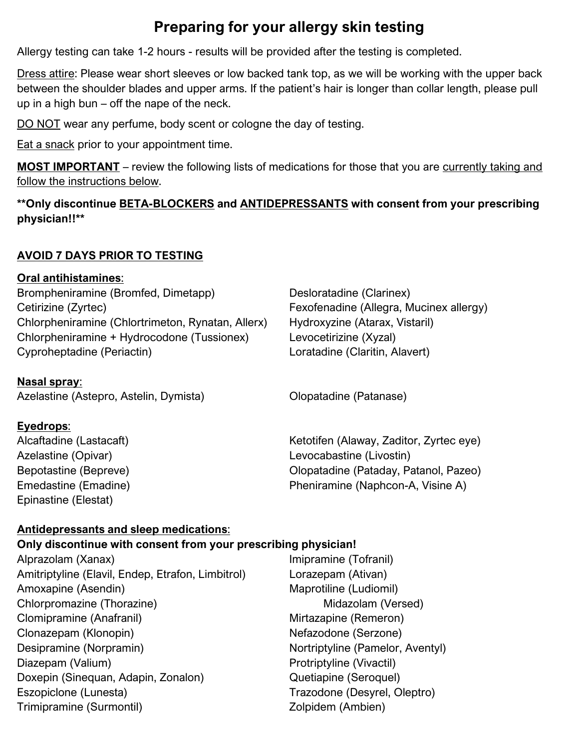# **Preparing for your allergy skin testing**

Allergy testing can take 1-2 hours - results will be provided after the testing is completed.

Dress attire: Please wear short sleeves or low backed tank top, as we will be working with the upper back between the shoulder blades and upper arms. If the patient's hair is longer than collar length, please pull up in a high bun – off the nape of the neck.

DO NOT wear any perfume, body scent or cologne the day of testing.

Eat a snack prior to your appointment time.

**MOST IMPORTANT** – review the following lists of medications for those that you are currently taking and follow the instructions below.

**\*\*Only discontinue BETA-BLOCKERS and ANTIDEPRESSANTS with consent from your prescribing physician!!\*\***

## **AVOID 7 DAYS PRIOR TO TESTING**

## **Oral antihistamines**:

Brompheniramine (Bromfed, Dimetapp) Desloratadine (Clarinex) Cetirizine (Zyrtec) Fexofenadine (Allegra, Mucinex allergy) Chlorpheniramine (Chlortrimeton, Rynatan, Allerx) Hydroxyzine (Atarax, Vistaril) Chlorpheniramine + Hydrocodone (Tussionex) Levocetirizine (Xyzal) Cyproheptadine (Periactin) Loratadine (Claritin, Alavert)

## **Nasal spray**:

Azelastine (Astepro, Astelin, Dymista) Clopatadine (Patanase)

## **Eyedrops**:

Epinastine (Elestat)

Alcaftadine (Lastacaft) Ketotifen (Alaway, Zaditor, Zyrtec eye) Azelastine (Opivar) Levocabastine (Livostin) Bepotastine (Bepreve) and a controlled a comparable comparation of Olopatadine (Pataday, Patanol, Pazeo) Emedastine (Emadine) **Pheniramine (Naphcon-A, Visine A)** 

## **Antidepressants and sleep medications**:

## **Only discontinue with consent from your prescribing physician!**

Alprazolam (Xanax) **Imipramine (Tofranil**) Amitriptyline (Elavil, Endep, Etrafon, Limbitrol) Lorazepam (Ativan) Amoxapine (Asendin) Maprotiline (Ludiomil) Chlorpromazine (Thorazine) Midazolam (Versed) Clomipramine (Anafranil) Mirtazapine (Remeron) Clonazepam (Klonopin) Nefazodone (Serzone) Desipramine (Norpramin) Nortriptyline (Pamelor, Aventyl) Diazepam (Valium) **Protriptyline (Vivactil)** Protriptyline (Vivactil) Doxepin (Sinequan, Adapin, Zonalon) **Quetiapine (Seroquel)** Eszopiclone (Lunesta) Trazodone (Desyrel, Oleptro) Trimipramine (Surmontil) Trimipramine (Surmontil)